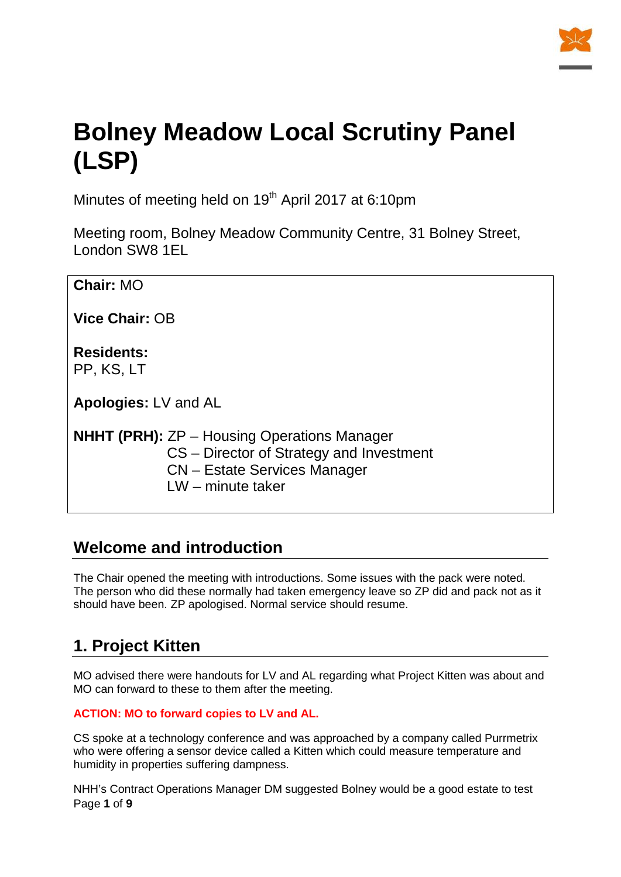

# **Bolney Meadow Local Scrutiny Panel (LSP)**

Minutes of meeting held on 19<sup>th</sup> April 2017 at 6:10pm

Meeting room, Bolney Meadow Community Centre, 31 Bolney Street, London SW8 1EL

| <b>Chair: MO</b>                                                                                                                      |  |  |  |
|---------------------------------------------------------------------------------------------------------------------------------------|--|--|--|
| Vice Chair: OB                                                                                                                        |  |  |  |
| <b>Residents:</b><br>PP, KS, LT                                                                                                       |  |  |  |
| <b>Apologies: LV and AL</b>                                                                                                           |  |  |  |
| <b>NHHT (PRH):</b> ZP – Housing Operations Manager<br>CS – Director of Strategy and Investment<br><b>CN</b> – Estate Services Manager |  |  |  |

LW – minute taker

# **Welcome and introduction**

The Chair opened the meeting with introductions. Some issues with the pack were noted. The person who did these normally had taken emergency leave so ZP did and pack not as it should have been. ZP apologised. Normal service should resume.

# **1. Project Kitten**

MO advised there were handouts for LV and AL regarding what Project Kitten was about and MO can forward to these to them after the meeting.

#### **ACTION: MO to forward copies to LV and AL.**

CS spoke at a technology conference and was approached by a company called Purrmetrix who were offering a sensor device called a Kitten which could measure temperature and humidity in properties suffering dampness.

Page **1** of **9** NHH's Contract Operations Manager DM suggested Bolney would be a good estate to test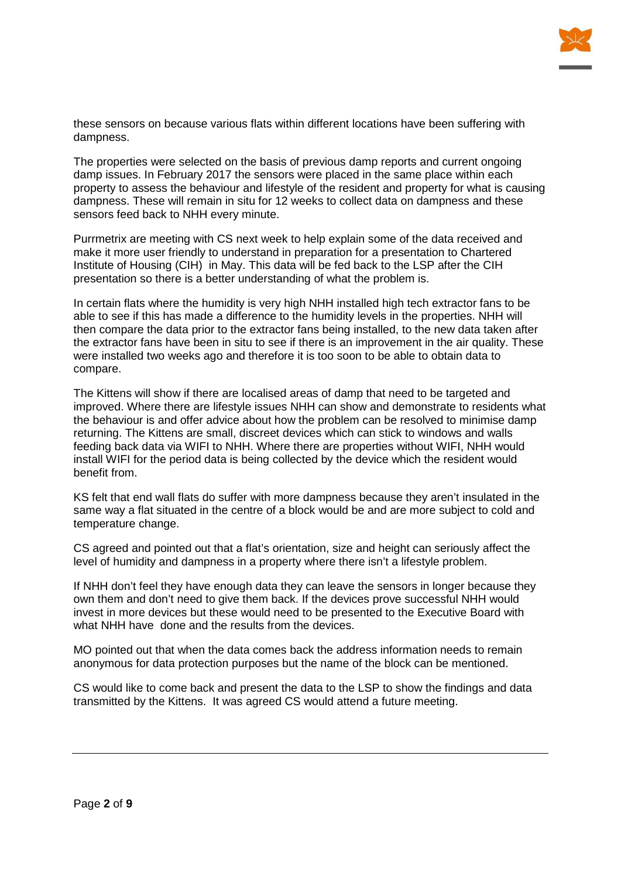

these sensors on because various flats within different locations have been suffering with dampness.

The properties were selected on the basis of previous damp reports and current ongoing damp issues. In February 2017 the sensors were placed in the same place within each property to assess the behaviour and lifestyle of the resident and property for what is causing dampness. These will remain in situ for 12 weeks to collect data on dampness and these sensors feed back to NHH every minute.

Purrmetrix are meeting with CS next week to help explain some of the data received and make it more user friendly to understand in preparation for a presentation to Chartered Institute of Housing (CIH) in May. This data will be fed back to the LSP after the CIH presentation so there is a better understanding of what the problem is.

In certain flats where the humidity is very high NHH installed high tech extractor fans to be able to see if this has made a difference to the humidity levels in the properties. NHH will then compare the data prior to the extractor fans being installed, to the new data taken after the extractor fans have been in situ to see if there is an improvement in the air quality. These were installed two weeks ago and therefore it is too soon to be able to obtain data to compare.

The Kittens will show if there are localised areas of damp that need to be targeted and improved. Where there are lifestyle issues NHH can show and demonstrate to residents what the behaviour is and offer advice about how the problem can be resolved to minimise damp returning. The Kittens are small, discreet devices which can stick to windows and walls feeding back data via WIFI to NHH. Where there are properties without WIFI, NHH would install WIFI for the period data is being collected by the device which the resident would benefit from.

KS felt that end wall flats do suffer with more dampness because they aren't insulated in the same way a flat situated in the centre of a block would be and are more subject to cold and temperature change.

CS agreed and pointed out that a flat's orientation, size and height can seriously affect the level of humidity and dampness in a property where there isn't a lifestyle problem.

If NHH don't feel they have enough data they can leave the sensors in longer because they own them and don't need to give them back. If the devices prove successful NHH would invest in more devices but these would need to be presented to the Executive Board with what NHH have done and the results from the devices.

MO pointed out that when the data comes back the address information needs to remain anonymous for data protection purposes but the name of the block can be mentioned.

CS would like to come back and present the data to the LSP to show the findings and data transmitted by the Kittens. It was agreed CS would attend a future meeting.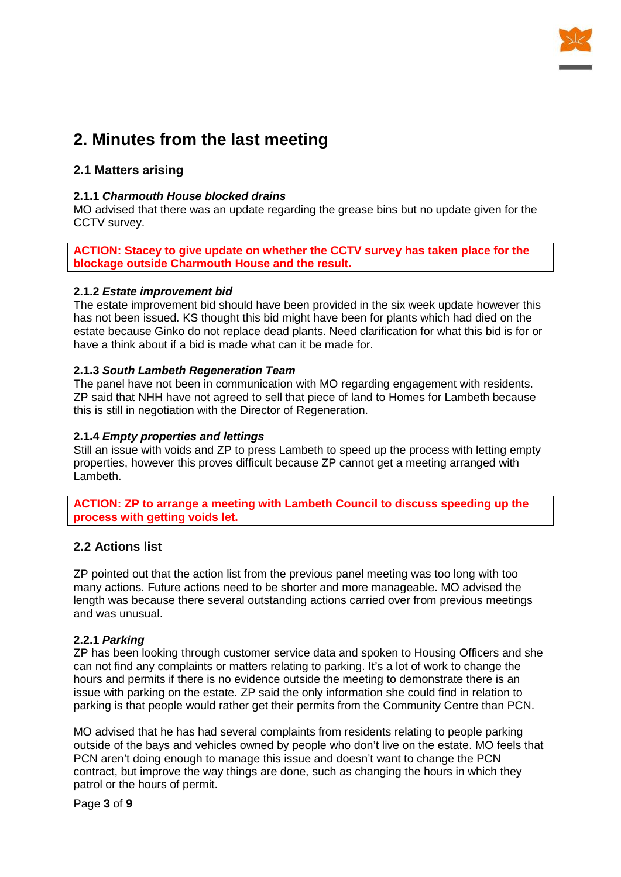

## **2. Minutes from the last meeting**

#### **2.1 Matters arising**

#### **2.1.1** *Charmouth House blocked drains*

MO advised that there was an update regarding the grease bins but no update given for the CCTV survey.

**ACTION: Stacey to give update on whether the CCTV survey has taken place for the blockage outside Charmouth House and the result.**

#### **2.1.2** *Estate improvement bid*

The estate improvement bid should have been provided in the six week update however this has not been issued. KS thought this bid might have been for plants which had died on the estate because Ginko do not replace dead plants. Need clarification for what this bid is for or have a think about if a bid is made what can it be made for.

#### **2.1.3** *South Lambeth Regeneration Team*

The panel have not been in communication with MO regarding engagement with residents. ZP said that NHH have not agreed to sell that piece of land to Homes for Lambeth because this is still in negotiation with the Director of Regeneration.

#### **2.1.4** *Empty properties and lettings*

Still an issue with voids and ZP to press Lambeth to speed up the process with letting empty properties, however this proves difficult because ZP cannot get a meeting arranged with Lambeth.

**ACTION: ZP to arrange a meeting with Lambeth Council to discuss speeding up the process with getting voids let.**

#### **2.2 Actions list**

ZP pointed out that the action list from the previous panel meeting was too long with too many actions. Future actions need to be shorter and more manageable. MO advised the length was because there several outstanding actions carried over from previous meetings and was unusual.

#### **2.2.1** *Parking*

ZP has been looking through customer service data and spoken to Housing Officers and she can not find any complaints or matters relating to parking. It's a lot of work to change the hours and permits if there is no evidence outside the meeting to demonstrate there is an issue with parking on the estate. ZP said the only information she could find in relation to parking is that people would rather get their permits from the Community Centre than PCN.

MO advised that he has had several complaints from residents relating to people parking outside of the bays and vehicles owned by people who don't live on the estate. MO feels that PCN aren't doing enough to manage this issue and doesn't want to change the PCN contract, but improve the way things are done, such as changing the hours in which they patrol or the hours of permit.

Page **3** of **9**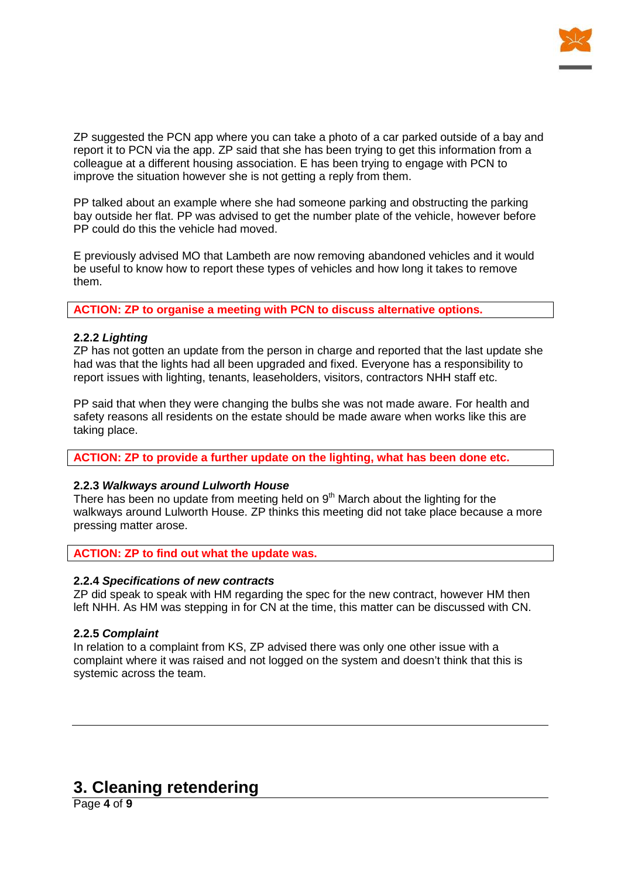

ZP suggested the PCN app where you can take a photo of a car parked outside of a bay and report it to PCN via the app. ZP said that she has been trying to get this information from a colleague at a different housing association. E has been trying to engage with PCN to improve the situation however she is not getting a reply from them.

PP talked about an example where she had someone parking and obstructing the parking bay outside her flat. PP was advised to get the number plate of the vehicle, however before PP could do this the vehicle had moved.

E previously advised MO that Lambeth are now removing abandoned vehicles and it would be useful to know how to report these types of vehicles and how long it takes to remove them.

**ACTION: ZP to organise a meeting with PCN to discuss alternative options.**

#### **2.2.2** *Lighting*

ZP has not gotten an update from the person in charge and reported that the last update she had was that the lights had all been upgraded and fixed. Everyone has a responsibility to report issues with lighting, tenants, leaseholders, visitors, contractors NHH staff etc.

PP said that when they were changing the bulbs she was not made aware. For health and safety reasons all residents on the estate should be made aware when works like this are taking place.

**ACTION: ZP to provide a further update on the lighting, what has been done etc.**

#### **2.2.3** *Walkways around Lulworth House*

There has been no update from meeting held on  $9<sup>th</sup>$  March about the lighting for the walkways around Lulworth House. ZP thinks this meeting did not take place because a more pressing matter arose.

**ACTION: ZP to find out what the update was.**

#### **2.2.4** *Specifications of new contracts*

ZP did speak to speak with HM regarding the spec for the new contract, however HM then left NHH. As HM was stepping in for CN at the time, this matter can be discussed with CN.

#### **2.2.5** *Complaint*

In relation to a complaint from KS, ZP advised there was only one other issue with a complaint where it was raised and not logged on the system and doesn't think that this is systemic across the team.

### **3. Cleaning retendering**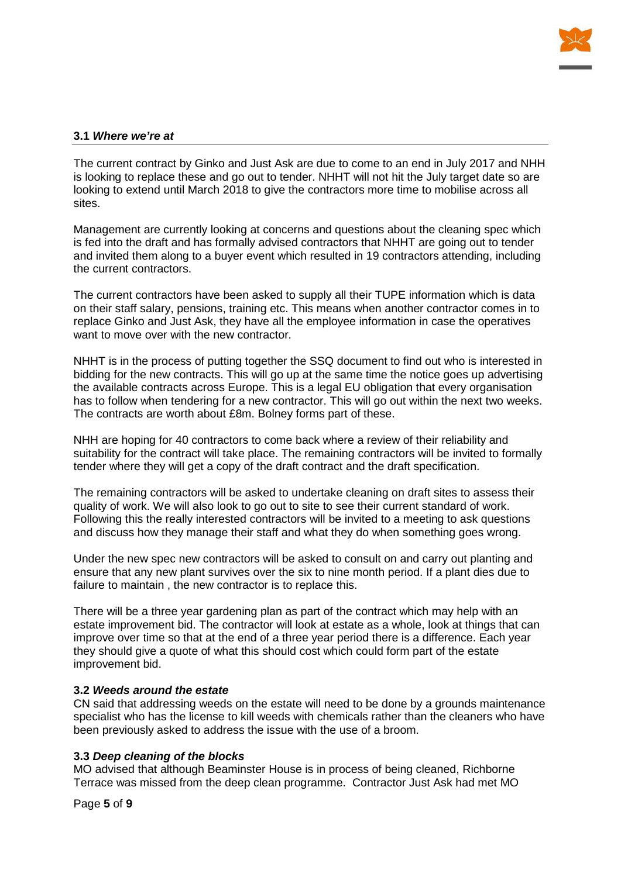

#### **3.1** *Where we're at*

The current contract by Ginko and Just Ask are due to come to an end in July 2017 and NHH is looking to replace these and go out to tender. NHHT will not hit the July target date so are looking to extend until March 2018 to give the contractors more time to mobilise across all sites.

Management are currently looking at concerns and questions about the cleaning spec which is fed into the draft and has formally advised contractors that NHHT are going out to tender and invited them along to a buyer event which resulted in 19 contractors attending, including the current contractors.

The current contractors have been asked to supply all their TUPE information which is data on their staff salary, pensions, training etc. This means when another contractor comes in to replace Ginko and Just Ask, they have all the employee information in case the operatives want to move over with the new contractor.

NHHT is in the process of putting together the SSQ document to find out who is interested in bidding for the new contracts. This will go up at the same time the notice goes up advertising the available contracts across Europe. This is a legal EU obligation that every organisation has to follow when tendering for a new contractor. This will go out within the next two weeks. The contracts are worth about £8m. Bolney forms part of these.

NHH are hoping for 40 contractors to come back where a review of their reliability and suitability for the contract will take place. The remaining contractors will be invited to formally tender where they will get a copy of the draft contract and the draft specification.

The remaining contractors will be asked to undertake cleaning on draft sites to assess their quality of work. We will also look to go out to site to see their current standard of work. Following this the really interested contractors will be invited to a meeting to ask questions and discuss how they manage their staff and what they do when something goes wrong.

Under the new spec new contractors will be asked to consult on and carry out planting and ensure that any new plant survives over the six to nine month period. If a plant dies due to failure to maintain , the new contractor is to replace this.

There will be a three year gardening plan as part of the contract which may help with an estate improvement bid. The contractor will look at estate as a whole, look at things that can improve over time so that at the end of a three year period there is a difference. Each year they should give a quote of what this should cost which could form part of the estate improvement bid.

#### **3.2** *Weeds around the estate*

CN said that addressing weeds on the estate will need to be done by a grounds maintenance specialist who has the license to kill weeds with chemicals rather than the cleaners who have been previously asked to address the issue with the use of a broom.

#### **3.3** *Deep cleaning of the blocks*

MO advised that although Beaminster House is in process of being cleaned, Richborne Terrace was missed from the deep clean programme. Contractor Just Ask had met MO

Page **5** of **9**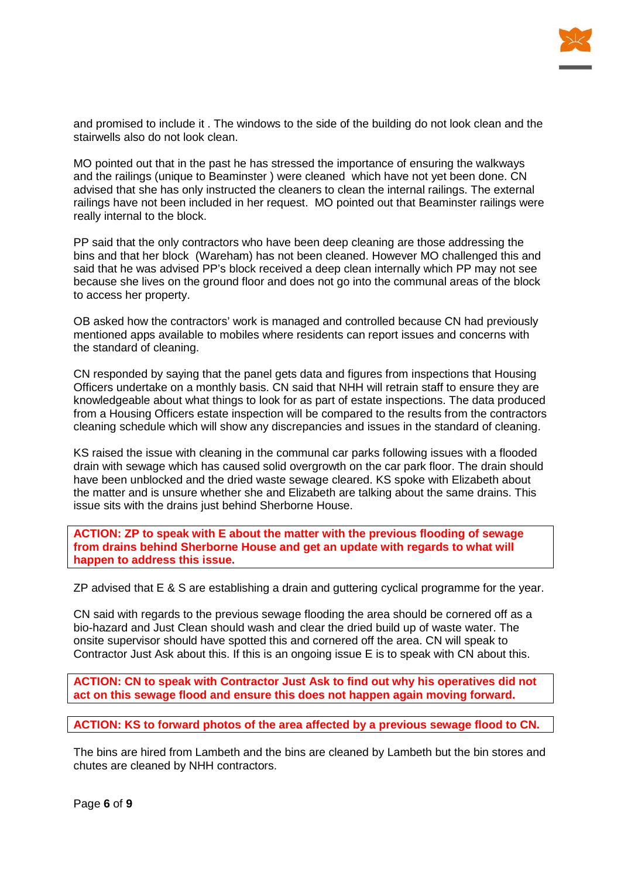

and promised to include it . The windows to the side of the building do not look clean and the stairwells also do not look clean.

MO pointed out that in the past he has stressed the importance of ensuring the walkways and the railings (unique to Beaminster ) were cleaned which have not yet been done. CN advised that she has only instructed the cleaners to clean the internal railings. The external railings have not been included in her request. MO pointed out that Beaminster railings were really internal to the block.

PP said that the only contractors who have been deep cleaning are those addressing the bins and that her block (Wareham) has not been cleaned. However MO challenged this and said that he was advised PP's block received a deep clean internally which PP may not see because she lives on the ground floor and does not go into the communal areas of the block to access her property.

OB asked how the contractors' work is managed and controlled because CN had previously mentioned apps available to mobiles where residents can report issues and concerns with the standard of cleaning.

CN responded by saying that the panel gets data and figures from inspections that Housing Officers undertake on a monthly basis. CN said that NHH will retrain staff to ensure they are knowledgeable about what things to look for as part of estate inspections. The data produced from a Housing Officers estate inspection will be compared to the results from the contractors cleaning schedule which will show any discrepancies and issues in the standard of cleaning.

KS raised the issue with cleaning in the communal car parks following issues with a flooded drain with sewage which has caused solid overgrowth on the car park floor. The drain should have been unblocked and the dried waste sewage cleared. KS spoke with Elizabeth about the matter and is unsure whether she and Elizabeth are talking about the same drains. This issue sits with the drains just behind Sherborne House.

**ACTION: ZP to speak with E about the matter with the previous flooding of sewage from drains behind Sherborne House and get an update with regards to what will happen to address this issue.**

ZP advised that E & S are establishing a drain and guttering cyclical programme for the year.

CN said with regards to the previous sewage flooding the area should be cornered off as a bio-hazard and Just Clean should wash and clear the dried build up of waste water. The onsite supervisor should have spotted this and cornered off the area. CN will speak to Contractor Just Ask about this. If this is an ongoing issue E is to speak with CN about this.

**ACTION: CN to speak with Contractor Just Ask to find out why his operatives did not act on this sewage flood and ensure this does not happen again moving forward.**

**ACTION: KS to forward photos of the area affected by a previous sewage flood to CN.**

The bins are hired from Lambeth and the bins are cleaned by Lambeth but the bin stores and chutes are cleaned by NHH contractors.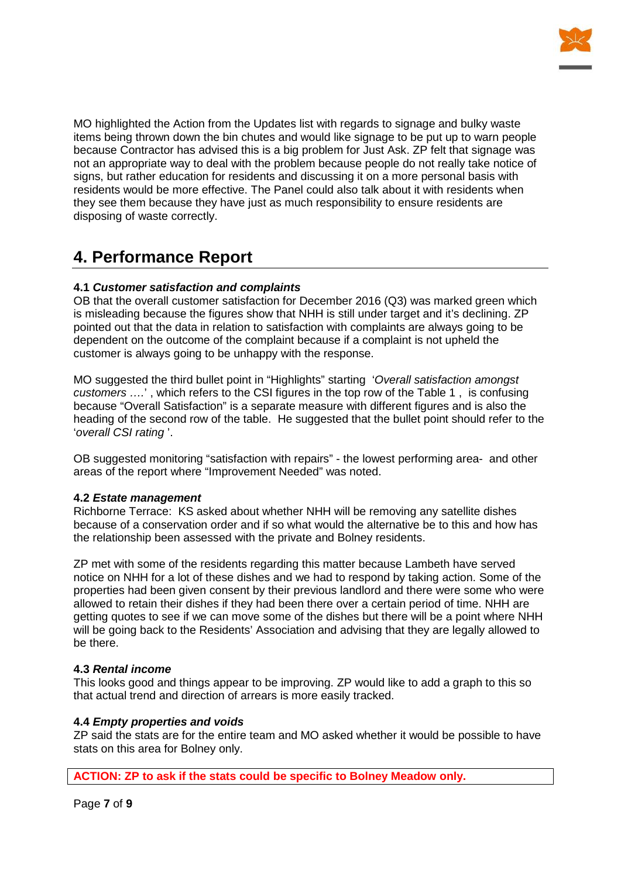

MO highlighted the Action from the Updates list with regards to signage and bulky waste items being thrown down the bin chutes and would like signage to be put up to warn people because Contractor has advised this is a big problem for Just Ask. ZP felt that signage was not an appropriate way to deal with the problem because people do not really take notice of signs, but rather education for residents and discussing it on a more personal basis with residents would be more effective. The Panel could also talk about it with residents when they see them because they have just as much responsibility to ensure residents are disposing of waste correctly.

### **4. Performance Report**

#### **4.1** *Customer satisfaction and complaints*

OB that the overall customer satisfaction for December 2016 (Q3) was marked green which is misleading because the figures show that NHH is still under target and it's declining. ZP pointed out that the data in relation to satisfaction with complaints are always going to be dependent on the outcome of the complaint because if a complaint is not upheld the customer is always going to be unhappy with the response.

MO suggested the third bullet point in "Highlights" starting '*Overall satisfaction amongst customers ….*' , which refers to the CSI figures in the top row of the Table 1 , is confusing because "Overall Satisfaction" is a separate measure with different figures and is also the heading of the second row of the table. He suggested that the bullet point should refer to the '*overall CSI rating* '.

OB suggested monitoring "satisfaction with repairs" - the lowest performing area- and other areas of the report where "Improvement Needed" was noted.

#### **4.2** *Estate management*

Richborne Terrace: KS asked about whether NHH will be removing any satellite dishes because of a conservation order and if so what would the alternative be to this and how has the relationship been assessed with the private and Bolney residents.

ZP met with some of the residents regarding this matter because Lambeth have served notice on NHH for a lot of these dishes and we had to respond by taking action. Some of the properties had been given consent by their previous landlord and there were some who were allowed to retain their dishes if they had been there over a certain period of time. NHH are getting quotes to see if we can move some of the dishes but there will be a point where NHH will be going back to the Residents' Association and advising that they are legally allowed to be there.

#### **4.3** *Rental income*

This looks good and things appear to be improving. ZP would like to add a graph to this so that actual trend and direction of arrears is more easily tracked.

#### **4.4** *Empty properties and voids*

ZP said the stats are for the entire team and MO asked whether it would be possible to have stats on this area for Bolney only.

**ACTION: ZP to ask if the stats could be specific to Bolney Meadow only.**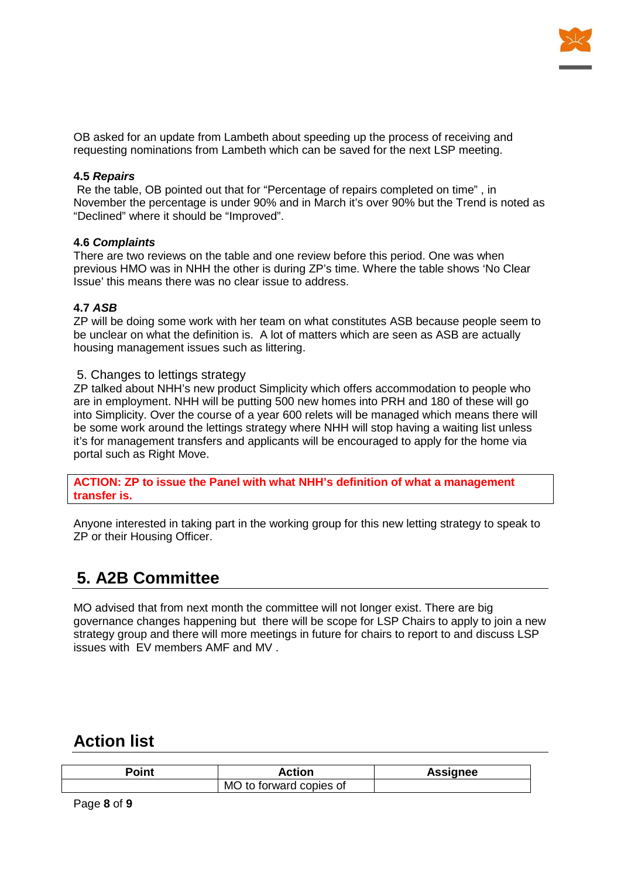

OB asked for an update from Lambeth about speeding up the process of receiving and requesting nominations from Lambeth which can be saved for the next LSP meeting.

#### **4.5** *Repairs*

Re the table, OB pointed out that for "Percentage of repairs completed on time" , in November the percentage is under 90% and in March it's over 90% but the Trend is noted as "Declined" where it should be "Improved".

#### **4.6** *Complaints*

There are two reviews on the table and one review before this period. One was when previous HMO was in NHH the other is during ZP's time. Where the table shows 'No Clear Issue' this means there was no clear issue to address.

#### **4.7** *ASB*

ZP will be doing some work with her team on what constitutes ASB because people seem to be unclear on what the definition is. A lot of matters which are seen as ASB are actually housing management issues such as littering.

#### 5. Changes to lettings strategy

ZP talked about NHH's new product Simplicity which offers accommodation to people who are in employment. NHH will be putting 500 new homes into PRH and 180 of these will go into Simplicity. Over the course of a year 600 relets will be managed which means there will be some work around the lettings strategy where NHH will stop having a waiting list unless it's for management transfers and applicants will be encouraged to apply for the home via portal such as Right Move.

**ACTION: ZP to issue the Panel with what NHH's definition of what a management transfer is.**

Anyone interested in taking part in the working group for this new letting strategy to speak to ZP or their Housing Officer.

# **5. A2B Committee**

MO advised that from next month the committee will not longer exist. There are big governance changes happening but there will be scope for LSP Chairs to apply to join a new strategy group and there will more meetings in future for chairs to report to and discuss LSP issues with EV members AMF and MV .

### **Action list**

| Point | Action                  | Assignee |
|-------|-------------------------|----------|
|       | MO to forward copies of |          |